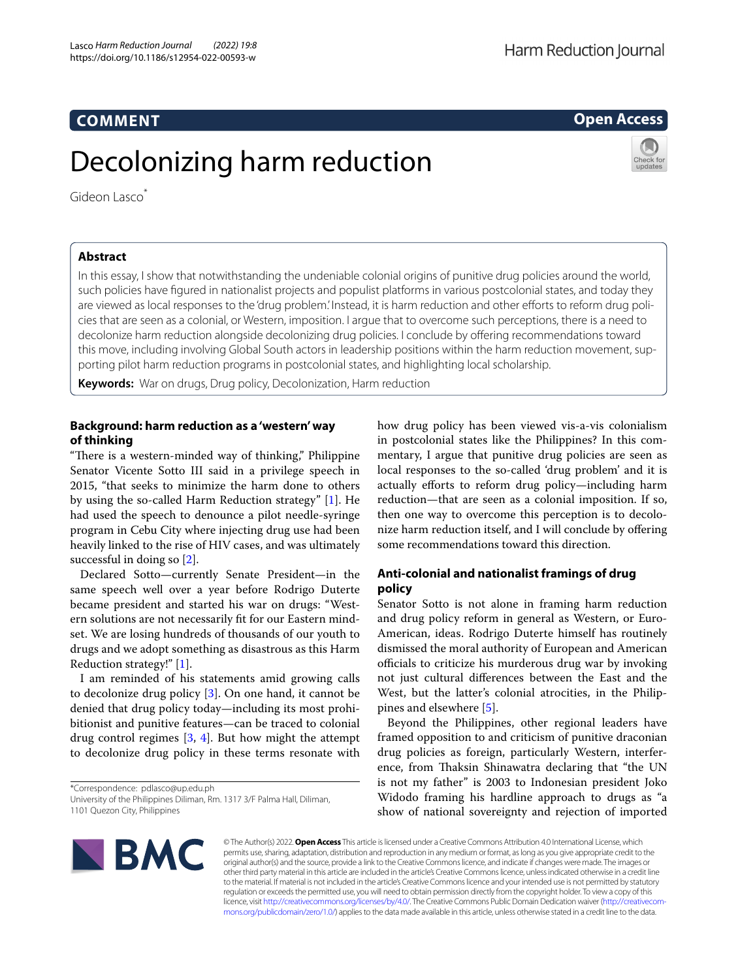# **COMMENT**

# Decolonizing harm reduction

Gideon Lasco<sup>\*</sup>

# **Abstract**

In this essay, I show that notwithstanding the undeniable colonial origins of punitive drug policies around the world, such policies have fgured in nationalist projects and populist platforms in various postcolonial states, and today they are viewed as local responses to the 'drug problem'. Instead, it is harm reduction and other efforts to reform drug policies that are seen as a colonial, or Western, imposition. I argue that to overcome such perceptions, there is a need to decolonize harm reduction alongside decolonizing drug policies. I conclude by ofering recommendations toward this move, including involving Global South actors in leadership positions within the harm reduction movement, supporting pilot harm reduction programs in postcolonial states, and highlighting local scholarship.

**Keywords:** War on drugs, Drug policy, Decolonization, Harm reduction

# **Background: harm reduction as a 'western' way of thinking**

"There is a western-minded way of thinking," Philippine Senator Vicente Sotto III said in a privilege speech in 2015, "that seeks to minimize the harm done to others by using the so-called Harm Reduction strategy" [\[1](#page-2-0)]. He had used the speech to denounce a pilot needle-syringe program in Cebu City where injecting drug use had been heavily linked to the rise of HIV cases, and was ultimately successful in doing so [\[2](#page-2-1)].

Declared Sotto—currently Senate President—in the same speech well over a year before Rodrigo Duterte became president and started his war on drugs: "Western solutions are not necessarily ft for our Eastern mindset. We are losing hundreds of thousands of our youth to drugs and we adopt something as disastrous as this Harm Reduction strategy!" [[1\]](#page-2-0).

I am reminded of his statements amid growing calls to decolonize drug policy [[3\]](#page-2-2). On one hand, it cannot be denied that drug policy today—including its most prohibitionist and punitive features—can be traced to colonial drug control regimes [\[3](#page-2-2), [4\]](#page-2-3). But how might the attempt to decolonize drug policy in these terms resonate with

\*Correspondence: pdlasco@up.edu.ph

how drug policy has been viewed vis-a-vis colonialism in postcolonial states like the Philippines? In this commentary, I argue that punitive drug policies are seen as local responses to the so-called 'drug problem' and it is actually efforts to reform drug policy—including harm reduction—that are seen as a colonial imposition. If so, then one way to overcome this perception is to decolonize harm reduction itself, and I will conclude by ofering some recommendations toward this direction.

# **Anti‑colonial and nationalist framings of drug policy**

Senator Sotto is not alone in framing harm reduction and drug policy reform in general as Western, or Euro-American, ideas. Rodrigo Duterte himself has routinely dismissed the moral authority of European and American officials to criticize his murderous drug war by invoking not just cultural diferences between the East and the West, but the latter's colonial atrocities, in the Philip-pines and elsewhere [\[5](#page-2-4)].

Beyond the Philippines, other regional leaders have framed opposition to and criticism of punitive draconian drug policies as foreign, particularly Western, interference, from Thaksin Shinawatra declaring that "the UN is not my father" is 2003 to Indonesian president Joko Widodo framing his hardline approach to drugs as "a show of national sovereignty and rejection of imported







**Open Access**

University of the Philippines Diliman, Rm. 1317 3/F Palma Hall, Diliman, 1101 Quezon City, Philippines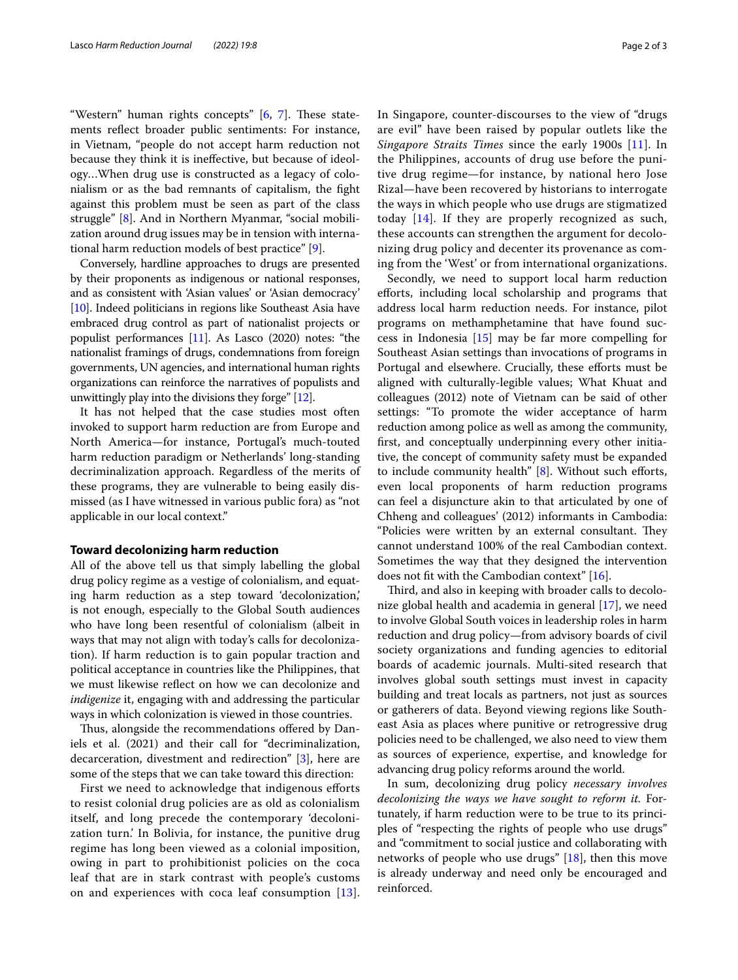"Western" human rights concepts"  $[6, 7]$  $[6, 7]$  $[6, 7]$  $[6, 7]$  $[6, 7]$ . These statements refect broader public sentiments: For instance, in Vietnam, "people do not accept harm reduction not because they think it is inefective, but because of ideology…When drug use is constructed as a legacy of colonialism or as the bad remnants of capitalism, the fght against this problem must be seen as part of the class struggle" [\[8](#page-2-7)]. And in Northern Myanmar, "social mobilization around drug issues may be in tension with international harm reduction models of best practice" [\[9](#page-2-8)].

Conversely, hardline approaches to drugs are presented by their proponents as indigenous or national responses, and as consistent with 'Asian values' or 'Asian democracy' [[10](#page-2-9)]. Indeed politicians in regions like Southeast Asia have embraced drug control as part of nationalist projects or populist performances [\[11\]](#page-2-10). As Lasco (2020) notes: "the nationalist framings of drugs, condemnations from foreign governments, UN agencies, and international human rights organizations can reinforce the narratives of populists and unwittingly play into the divisions they forge" [[12](#page-2-11)].

It has not helped that the case studies most often invoked to support harm reduction are from Europe and North America—for instance, Portugal's much-touted harm reduction paradigm or Netherlands' long-standing decriminalization approach. Regardless of the merits of these programs, they are vulnerable to being easily dismissed (as I have witnessed in various public fora) as "not applicable in our local context."

# **Toward decolonizing harm reduction**

All of the above tell us that simply labelling the global drug policy regime as a vestige of colonialism, and equating harm reduction as a step toward 'decolonization,' is not enough, especially to the Global South audiences who have long been resentful of colonialism (albeit in ways that may not align with today's calls for decolonization). If harm reduction is to gain popular traction and political acceptance in countries like the Philippines, that we must likewise refect on how we can decolonize and *indigenize* it, engaging with and addressing the particular ways in which colonization is viewed in those countries.

Thus, alongside the recommendations offered by Daniels et al. (2021) and their call for "decriminalization, decarceration, divestment and redirection" [\[3](#page-2-2)], here are some of the steps that we can take toward this direction:

First we need to acknowledge that indigenous eforts to resist colonial drug policies are as old as colonialism itself, and long precede the contemporary 'decolonization turn.' In Bolivia, for instance, the punitive drug regime has long been viewed as a colonial imposition, owing in part to prohibitionist policies on the coca leaf that are in stark contrast with people's customs on and experiences with coca leaf consumption [[13\]](#page-2-12).

In Singapore, counter-discourses to the view of "drugs are evil" have been raised by popular outlets like the *Singapore Straits Times* since the early 1900s [[11\]](#page-2-10). In the Philippines, accounts of drug use before the punitive drug regime—for instance, by national hero Jose Rizal—have been recovered by historians to interrogate the ways in which people who use drugs are stigmatized today [\[14\]](#page-2-13). If they are properly recognized as such, these accounts can strengthen the argument for decolonizing drug policy and decenter its provenance as coming from the 'West' or from international organizations.

Secondly, we need to support local harm reduction eforts, including local scholarship and programs that address local harm reduction needs. For instance, pilot programs on methamphetamine that have found success in Indonesia [[15](#page-2-14)] may be far more compelling for Southeast Asian settings than invocations of programs in Portugal and elsewhere. Crucially, these efforts must be aligned with culturally-legible values; What Khuat and colleagues (2012) note of Vietnam can be said of other settings: "To promote the wider acceptance of harm reduction among police as well as among the community, frst, and conceptually underpinning every other initiative, the concept of community safety must be expanded to include community health"  $[8]$  $[8]$ . Without such efforts, even local proponents of harm reduction programs can feel a disjuncture akin to that articulated by one of Chheng and colleagues' (2012) informants in Cambodia: "Policies were written by an external consultant. They cannot understand 100% of the real Cambodian context. Sometimes the way that they designed the intervention does not ft with the Cambodian context" [\[16](#page-2-15)].

Third, and also in keeping with broader calls to decolonize global health and academia in general [\[17](#page-2-16)], we need to involve Global South voices in leadership roles in harm reduction and drug policy—from advisory boards of civil society organizations and funding agencies to editorial boards of academic journals. Multi-sited research that involves global south settings must invest in capacity building and treat locals as partners, not just as sources or gatherers of data. Beyond viewing regions like Southeast Asia as places where punitive or retrogressive drug policies need to be challenged, we also need to view them as sources of experience, expertise, and knowledge for advancing drug policy reforms around the world.

In sum, decolonizing drug policy *necessary involves decolonizing the ways we have sought to reform it.* Fortunately, if harm reduction were to be true to its principles of "respecting the rights of people who use drugs" and "commitment to social justice and collaborating with networks of people who use drugs" [[18\]](#page-2-17), then this move is already underway and need only be encouraged and reinforced.